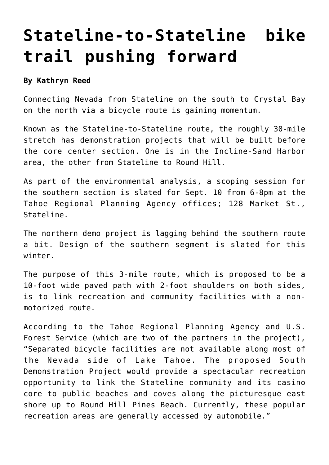## **[Stateline-to-Stateline bike](https://www.laketahoenews.net/2009/09/stateline-to-stateline-bike-trail-pushing-forward/) [trail pushing forward](https://www.laketahoenews.net/2009/09/stateline-to-stateline-bike-trail-pushing-forward/)**

## **By Kathryn Reed**

Connecting Nevada from Stateline on the south to Crystal Bay on the north via a bicycle route is gaining momentum.

Known as the Stateline-to-Stateline route, the roughly 30-mile stretch has demonstration projects that will be built before the core center section. One is in the Incline-Sand Harbor area, the other from Stateline to Round Hill.

As part of the environmental analysis, a scoping session for the southern section is slated for Sept. 10 from 6-8pm at the Tahoe Regional Planning Agency offices; 128 Market St., Stateline.

The northern demo project is lagging behind the southern route a bit. Design of the southern segment is slated for this winter.

The purpose of this 3-mile route, which is proposed to be a 10-foot wide paved path with 2-foot shoulders on both sides, is to link recreation and community facilities with a nonmotorized route.

According to the Tahoe Regional Planning Agency and U.S. Forest Service (which are two of the partners in the project), "Separated bicycle facilities are not available along most of the Nevada side of Lake Tahoe. The proposed South Demonstration Project would provide a spectacular recreation opportunity to link the Stateline community and its casino core to public beaches and coves along the picturesque east shore up to Round Hill Pines Beach. Currently, these popular recreation areas are generally accessed by automobile."